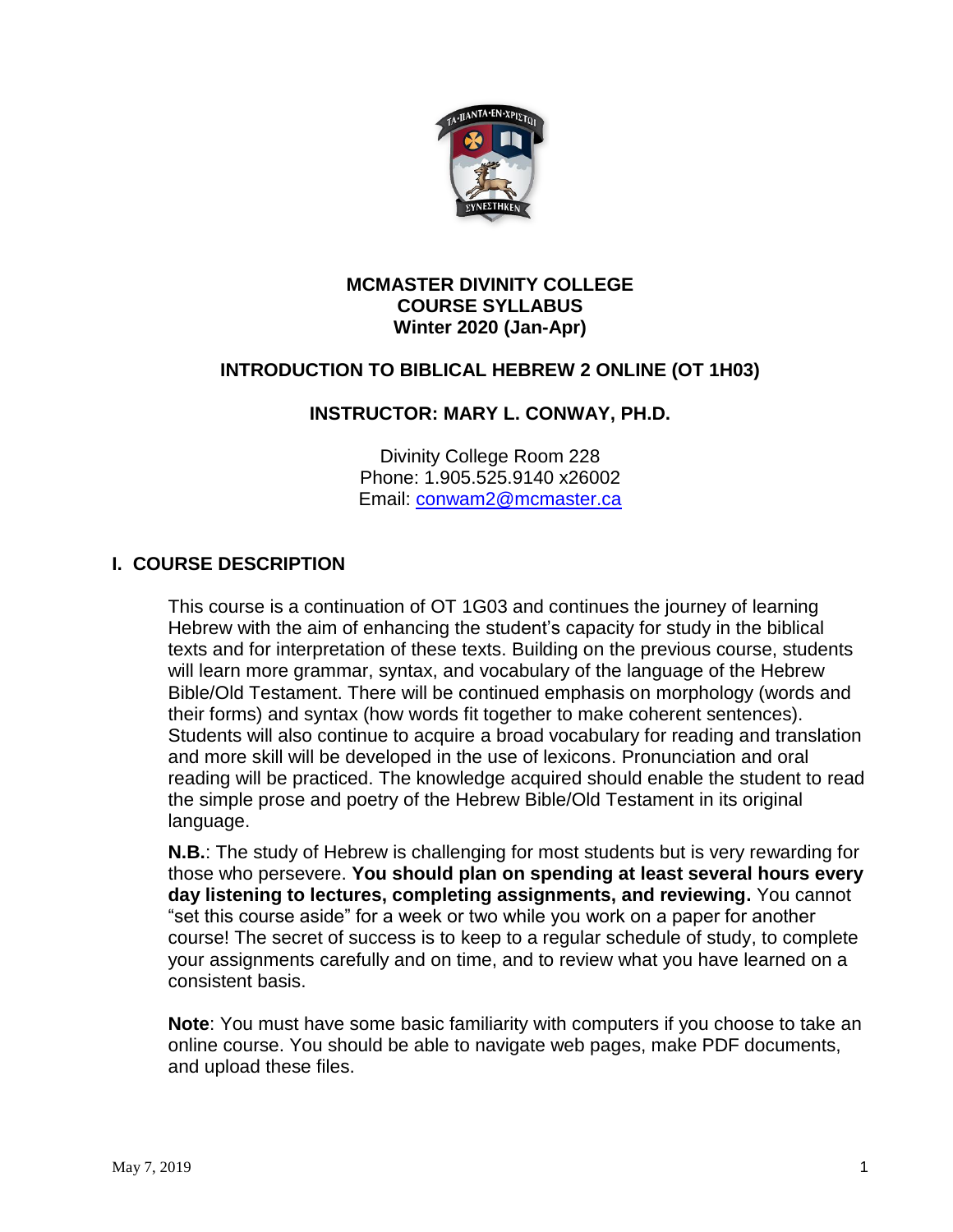

#### **MCMASTER DIVINITY COLLEGE COURSE SYLLABUS Winter 2020 (Jan-Apr)**

# **INTRODUCTION TO BIBLICAL HEBREW 2 ONLINE (OT 1H03)**

### **INSTRUCTOR: MARY L. CONWAY, PH.D.**

Divinity College Room 228 Phone: 1.905.525.9140 x26002 Email: [conwam2@mcmaster.ca](mailto:conwam2@mcmaster.ca)

### **I. COURSE DESCRIPTION**

This course is a continuation of OT 1G03 and continues the journey of learning Hebrew with the aim of enhancing the student's capacity for study in the biblical texts and for interpretation of these texts. Building on the previous course, students will learn more grammar, syntax, and vocabulary of the language of the Hebrew Bible/Old Testament. There will be continued emphasis on morphology (words and their forms) and syntax (how words fit together to make coherent sentences). Students will also continue to acquire a broad vocabulary for reading and translation and more skill will be developed in the use of lexicons. Pronunciation and oral reading will be practiced. The knowledge acquired should enable the student to read the simple prose and poetry of the Hebrew Bible/Old Testament in its original language.

**N.B.**: The study of Hebrew is challenging for most students but is very rewarding for those who persevere. **You should plan on spending at least several hours every day listening to lectures, completing assignments, and reviewing.** You cannot "set this course aside" for a week or two while you work on a paper for another course! The secret of success is to keep to a regular schedule of study, to complete your assignments carefully and on time, and to review what you have learned on a consistent basis.

**Note**: You must have some basic familiarity with computers if you choose to take an online course. You should be able to navigate web pages, make PDF documents, and upload these files.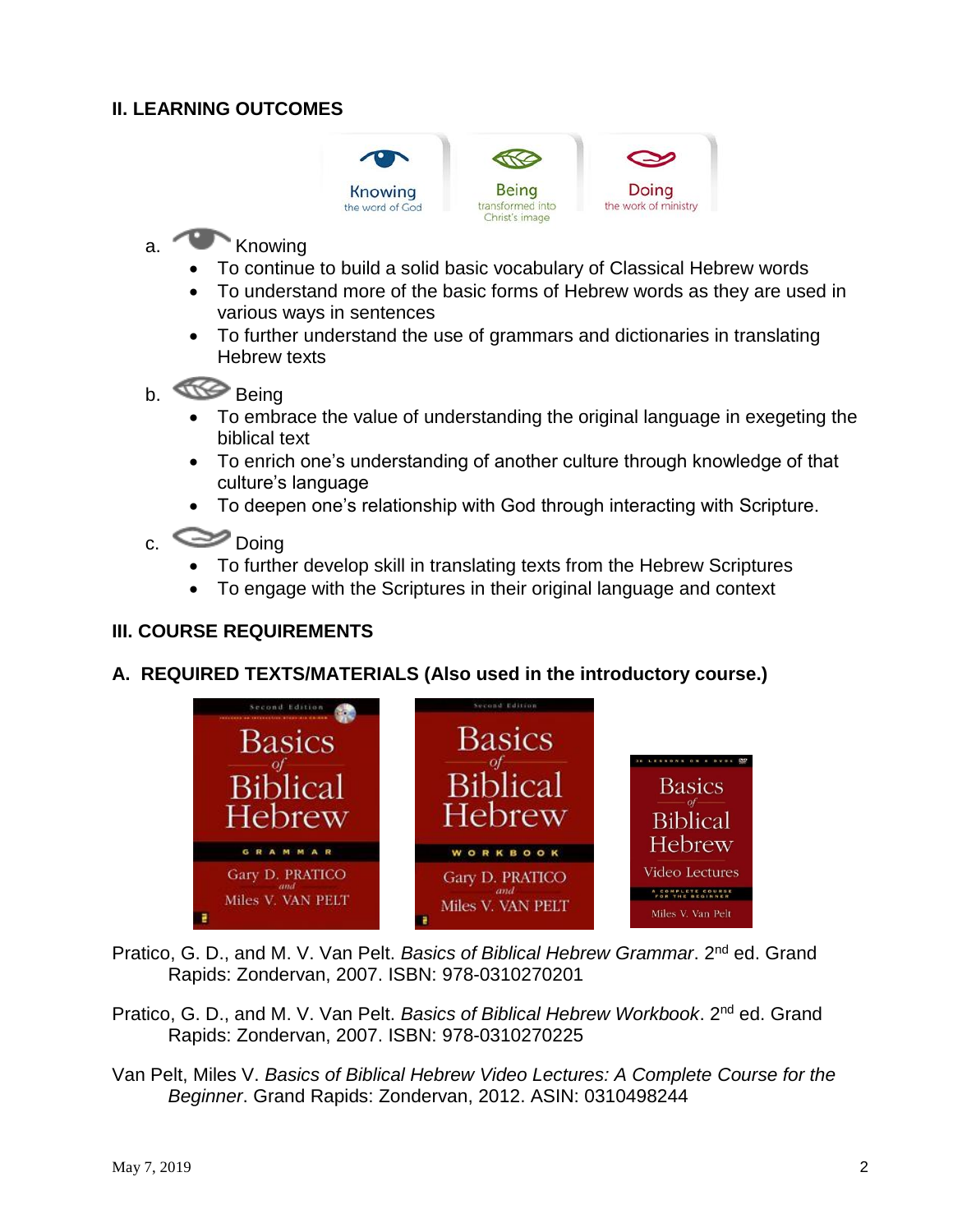### **II. LEARNING OUTCOMES**



# a. Knowing

- To continue to build a solid basic vocabulary of Classical Hebrew words
- To understand more of the basic forms of Hebrew words as they are used in various ways in sentences
- To further understand the use of grammars and dictionaries in translating Hebrew texts
- b. Being
	- To embrace the value of understanding the original language in exegeting the biblical text
	- To enrich one's understanding of another culture through knowledge of that culture's language
	- To deepen one's relationship with God through interacting with Scripture.

# c. Doing

- To further develop skill in translating texts from the Hebrew Scriptures
- To engage with the Scriptures in their original language and context

# **III. COURSE REQUIREMENTS**

### **A. REQUIRED TEXTS/MATERIALS (Also used in the introductory course.)**



Pratico, G. D., and M. V. Van Pelt. *Basics of Biblical Hebrew Grammar*. 2nd ed. Grand Rapids: Zondervan, 2007. ISBN: 978-0310270201

- Pratico, G. D., and M. V. Van Pelt. *Basics of Biblical Hebrew Workbook*. 2nd ed. Grand Rapids: Zondervan, 2007. ISBN: 978-0310270225
- Van Pelt, Miles V. *Basics of Biblical Hebrew Video Lectures: A Complete Course for the Beginner*. Grand Rapids: Zondervan, 2012. ASIN: 0310498244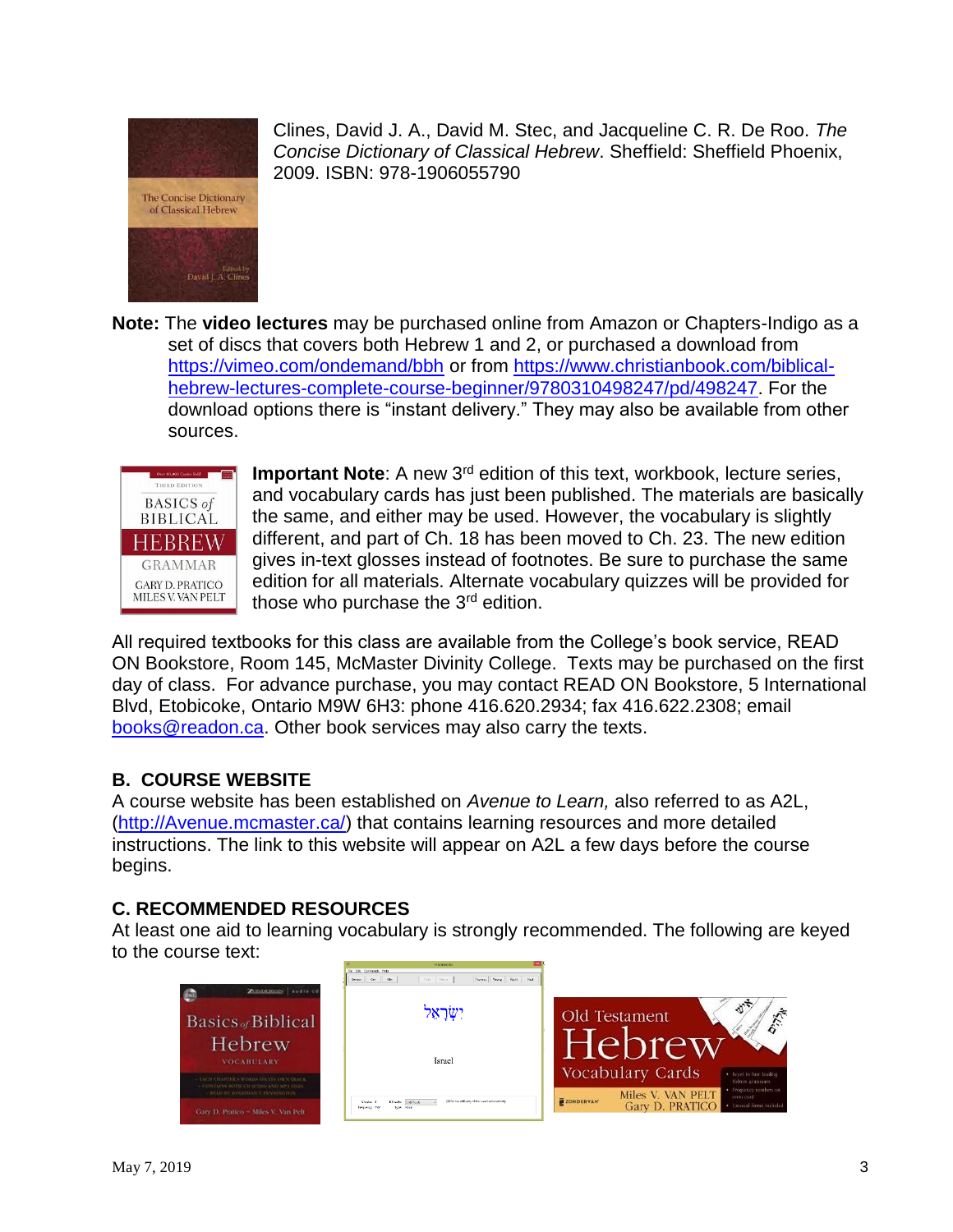

Edified by<br>David J. A. Clines

Clines, David J. A., David M. Stec, and Jacqueline C. R. De Roo. *The Concise Dictionary of Classical Hebrew*. Sheffield: Sheffield Phoenix, 2009. ISBN: 978-1906055790

**Note:** The **video lectures** may be purchased online from Amazon or Chapters-Indigo as a set of discs that covers both Hebrew 1 and 2, or purchased a download from <https://vimeo.com/ondemand/bbh> or from [https://www.christianbook.com/biblical](https://www.christianbook.com/biblical-hebrew-lectures-complete-course-beginner/9780310498247/pd/498247)[hebrew-lectures-complete-course-beginner/9780310498247/pd/498247.](https://www.christianbook.com/biblical-hebrew-lectures-complete-course-beginner/9780310498247/pd/498247) For the download options there is "instant delivery." They may also be available from other sources.



**Important Note**: A new 3<sup>rd</sup> edition of this text, workbook, lecture series, and vocabulary cards has just been published. The materials are basically the same, and either may be used. However, the vocabulary is slightly different, and part of Ch. 18 has been moved to Ch. 23. The new edition gives in-text glosses instead of footnotes. Be sure to purchase the same edition for all materials. Alternate vocabulary quizzes will be provided for those who purchase the  $3<sup>rd</sup>$  edition.

All required textbooks for this class are available from the College's book service, READ ON Bookstore, Room 145, McMaster Divinity College. Texts may be purchased on the first day of class. For advance purchase, you may contact READ ON Bookstore, 5 International Blvd, Etobicoke, Ontario M9W 6H3: phone 416.620.2934; fax 416.622.2308; email [books@readon.ca.](mailto:books@readon.ca) Other book services may also carry the texts.

### **B. COURSE WEBSITE**

A course website has been established on *Avenue to Learn,* also referred to as A2L, [\(http://Avenue.mcmaster.ca/\)](http://avenue.mcmaster.ca/) that contains learning resources and more detailed instructions. The link to this website will appear on A2L a few days before the course begins.

# **C. RECOMMENDED RESOURCES**

At least one aid to learning vocabulary is strongly recommended. The following are keyed to the course text:

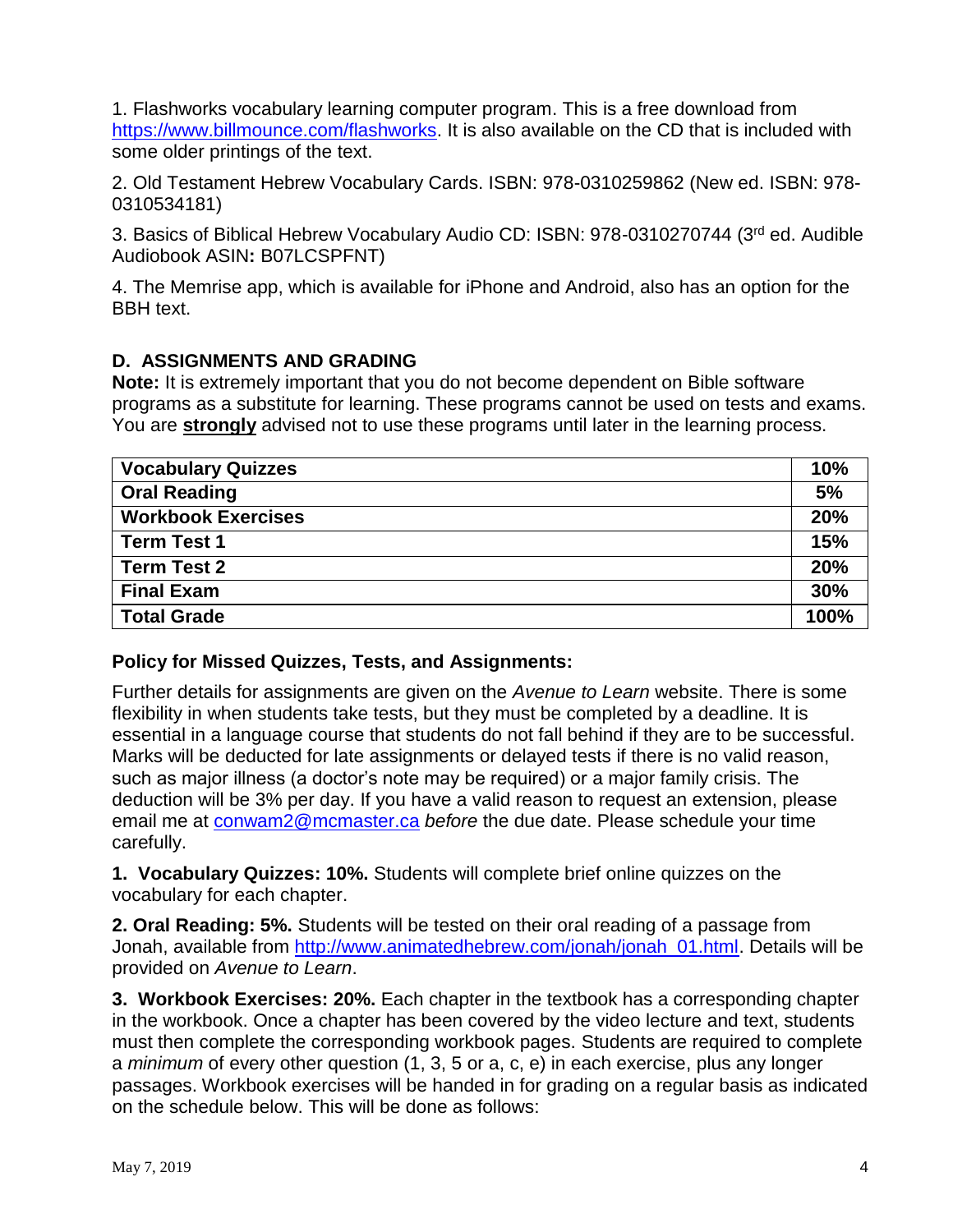1. Flashworks vocabulary learning computer program. This is a free download from [https://www.billmounce.com/flashworks.](https://www.billmounce.com/flashworks) It is also available on the CD that is included with some older printings of the text.

2. Old Testament Hebrew Vocabulary Cards. ISBN: 978-0310259862 (New ed. ISBN: 978- 0310534181)

3. Basics of Biblical Hebrew Vocabulary Audio CD: ISBN: 978-0310270744 (3rd ed. Audible Audiobook ASIN**:** B07LCSPFNT)

4. The Memrise app, which is available for iPhone and Android, also has an option for the BBH text.

### **D. ASSIGNMENTS AND GRADING**

**Note:** It is extremely important that you do not become dependent on Bible software programs as a substitute for learning. These programs cannot be used on tests and exams. You are **strongly** advised not to use these programs until later in the learning process.

| <b>Vocabulary Quizzes</b> | <b>10%</b> |
|---------------------------|------------|
| <b>Oral Reading</b>       | 5%         |
| <b>Workbook Exercises</b> | 20%        |
| <b>Term Test 1</b>        | 15%        |
| <b>Term Test 2</b>        | 20%        |
| <b>Final Exam</b>         | 30%        |
| <b>Total Grade</b>        | 100%       |

#### **Policy for Missed Quizzes, Tests, and Assignments:**

Further details for assignments are given on the *Avenue to Learn* website. There is some flexibility in when students take tests, but they must be completed by a deadline. It is essential in a language course that students do not fall behind if they are to be successful. Marks will be deducted for late assignments or delayed tests if there is no valid reason, such as major illness (a doctor's note may be required) or a major family crisis. The deduction will be 3% per day. If you have a valid reason to request an extension, please email me at [conwam2@mcmaster.ca](mailto:conwam2@mcmaster.ca) *before* the due date. Please schedule your time carefully.

**1. Vocabulary Quizzes: 10%.** Students will complete brief online quizzes on the vocabulary for each chapter.

**2. Oral Reading: 5%.** Students will be tested on their oral reading of a passage from Jonah, available from [http://www.animatedhebrew.com/jonah/jonah\\_01.html.](http://www.animatedhebrew.com/jonah/jonah_01.html) Details will be provided on *Avenue to Learn*.

**3. Workbook Exercises: 20%.** Each chapter in the textbook has a corresponding chapter in the workbook. Once a chapter has been covered by the video lecture and text, students must then complete the corresponding workbook pages. Students are required to complete a *minimum* of every other question (1, 3, 5 or a, c, e) in each exercise, plus any longer passages. Workbook exercises will be handed in for grading on a regular basis as indicated on the schedule below. This will be done as follows: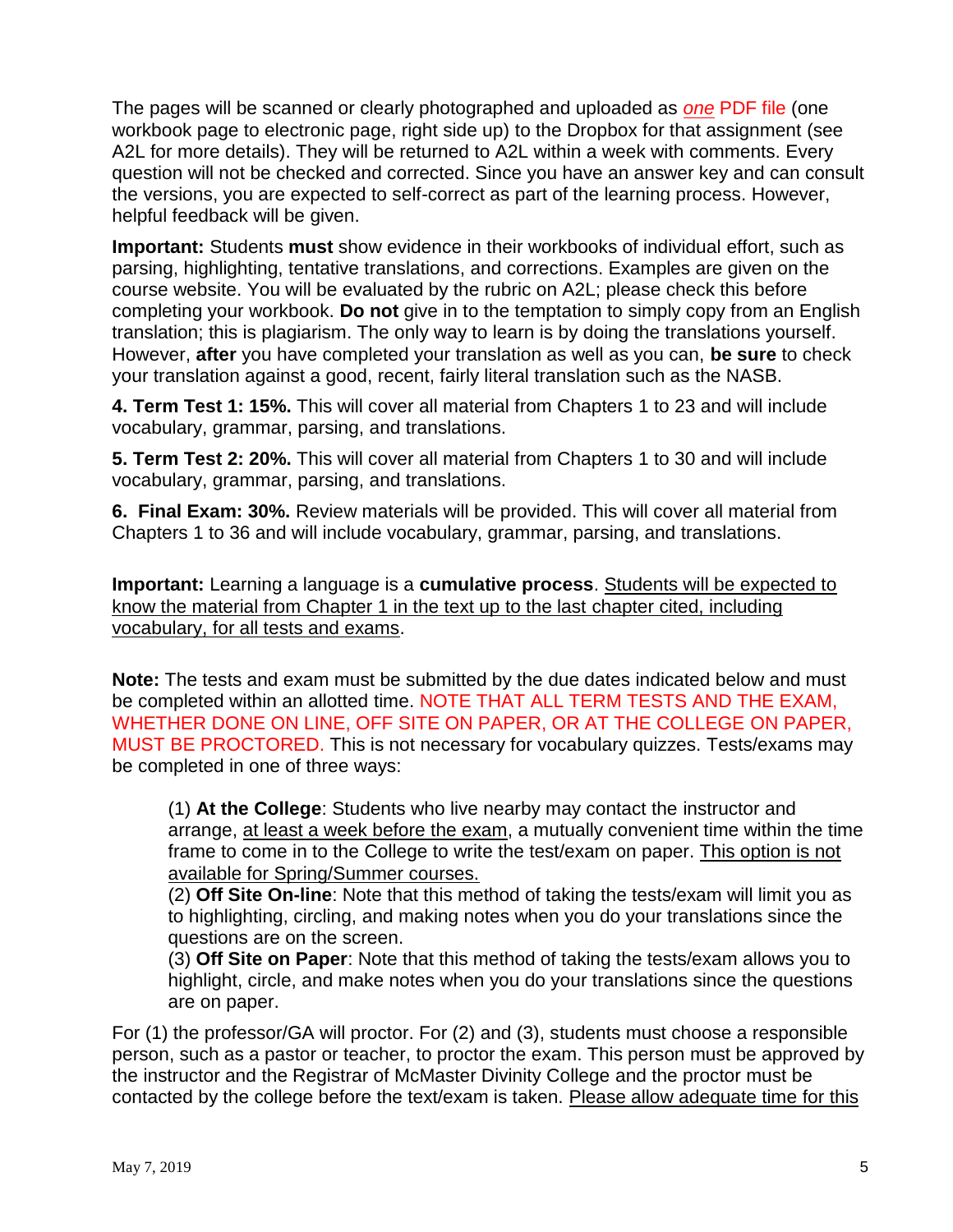The pages will be scanned or clearly photographed and uploaded as *one* PDF file (one workbook page to electronic page, right side up) to the Dropbox for that assignment (see A2L for more details). They will be returned to A2L within a week with comments. Every question will not be checked and corrected. Since you have an answer key and can consult the versions, you are expected to self-correct as part of the learning process. However, helpful feedback will be given.

**Important:** Students **must** show evidence in their workbooks of individual effort, such as parsing, highlighting, tentative translations, and corrections. Examples are given on the course website. You will be evaluated by the rubric on A2L; please check this before completing your workbook. **Do not** give in to the temptation to simply copy from an English translation; this is plagiarism. The only way to learn is by doing the translations yourself. However, **after** you have completed your translation as well as you can, **be sure** to check your translation against a good, recent, fairly literal translation such as the NASB.

**4. Term Test 1: 15%.** This will cover all material from Chapters 1 to 23 and will include vocabulary, grammar, parsing, and translations.

**5. Term Test 2: 20%.** This will cover all material from Chapters 1 to 30 and will include vocabulary, grammar, parsing, and translations.

**6. Final Exam: 30%.** Review materials will be provided. This will cover all material from Chapters 1 to 36 and will include vocabulary, grammar, parsing, and translations.

**Important:** Learning a language is a **cumulative process**. Students will be expected to know the material from Chapter 1 in the text up to the last chapter cited, including vocabulary, for all tests and exams.

**Note:** The tests and exam must be submitted by the due dates indicated below and must be completed within an allotted time. NOTE THAT ALL TERM TESTS AND THE EXAM, WHETHER DONE ON LINE, OFF SITE ON PAPER, OR AT THE COLLEGE ON PAPER, MUST BE PROCTORED. This is not necessary for vocabulary quizzes. Tests/exams may be completed in one of three ways:

(1) **At the College**: Students who live nearby may contact the instructor and arrange, at least a week before the exam, a mutually convenient time within the time frame to come in to the College to write the test/exam on paper. This option is not available for Spring/Summer courses.

(2) **Off Site On-line**: Note that this method of taking the tests/exam will limit you as to highlighting, circling, and making notes when you do your translations since the questions are on the screen.

(3) **Off Site on Paper**: Note that this method of taking the tests/exam allows you to highlight, circle, and make notes when you do your translations since the questions are on paper.

For (1) the professor/GA will proctor. For (2) and (3), students must choose a responsible person, such as a pastor or teacher, to proctor the exam. This person must be approved by the instructor and the Registrar of McMaster Divinity College and the proctor must be contacted by the college before the text/exam is taken. Please allow adequate time for this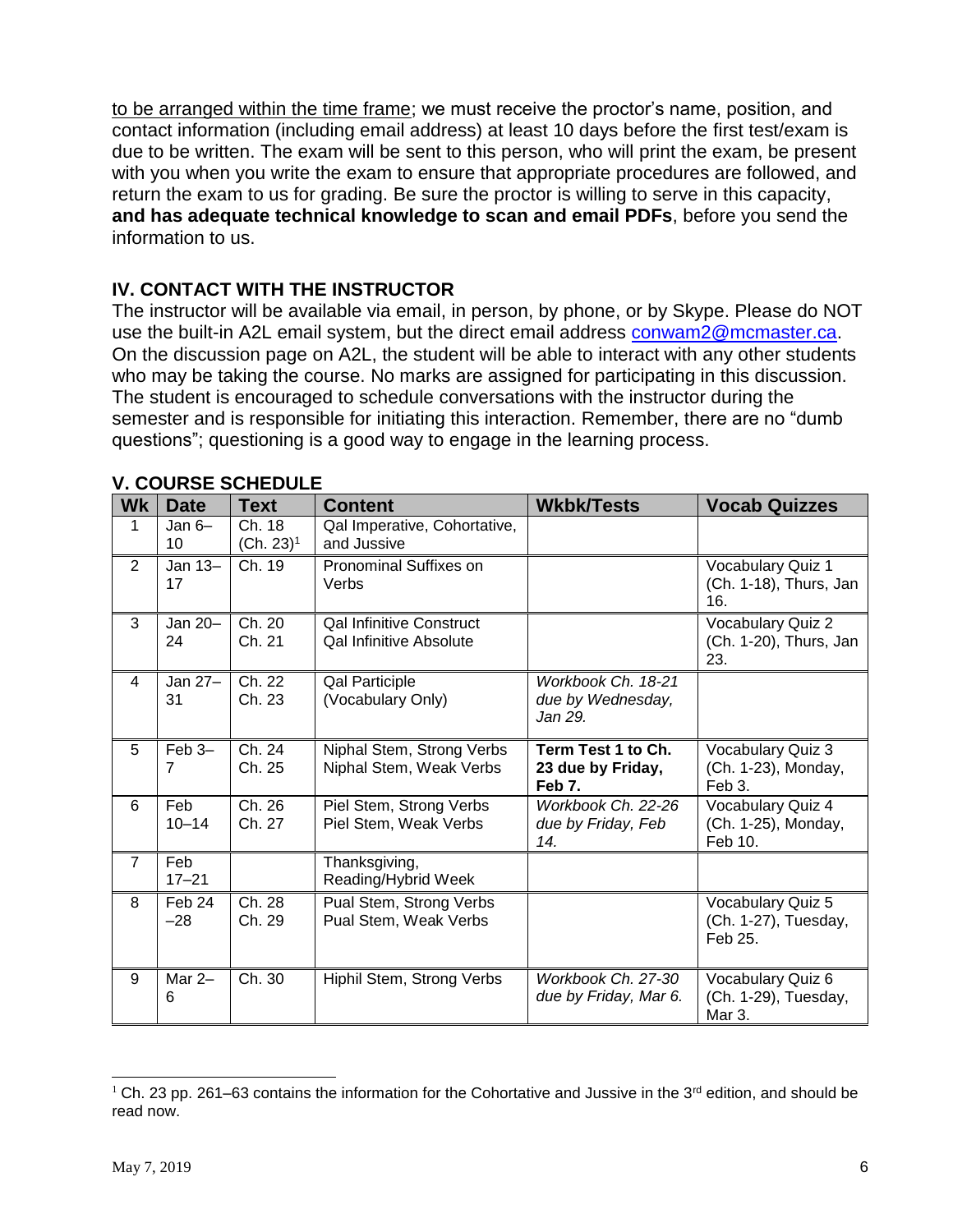to be arranged within the time frame; we must receive the proctor's name, position, and contact information (including email address) at least 10 days before the first test/exam is due to be written. The exam will be sent to this person, who will print the exam, be present with you when you write the exam to ensure that appropriate procedures are followed, and return the exam to us for grading. Be sure the proctor is willing to serve in this capacity, **and has adequate technical knowledge to scan and email PDFs**, before you send the information to us.

### **IV. CONTACT WITH THE INSTRUCTOR**

The instructor will be available via email, in person, by phone, or by Skype. Please do NOT use the built-in A2L email system, but the direct email address [conwam2@mcmaster.ca.](mailto:conwam2@mcmaster.ca) On the discussion page on A2L, the student will be able to interact with any other students who may be taking the course. No marks are assigned for participating in this discussion. The student is encouraged to schedule conversations with the instructor during the semester and is responsible for initiating this interaction. Remember, there are no "dumb questions"; questioning is a good way to engage in the learning process.

| <b>Wk</b>      | <b>Date</b>      | <b>Text</b>            | <b>Content</b>                                                    | <b>Wkbk/Tests</b>                                  | <b>Vocab Quizzes</b>                                 |
|----------------|------------------|------------------------|-------------------------------------------------------------------|----------------------------------------------------|------------------------------------------------------|
| 1              | Jan $6-$<br>10   | Ch. 18<br>$(Ch. 23)^1$ | Qal Imperative, Cohortative,<br>and Jussive                       |                                                    |                                                      |
| $\overline{2}$ | Jan 13-<br>17    | Ch. 19                 | Pronominal Suffixes on<br>Verbs                                   |                                                    | Vocabulary Quiz 1<br>(Ch. 1-18), Thurs, Jan<br>16.   |
| 3              | Jan 20-<br>24    | Ch. 20<br>Ch. 21       | <b>Qal Infinitive Construct</b><br><b>Qal Infinitive Absolute</b> |                                                    | Vocabulary Quiz 2<br>(Ch. 1-20), Thurs, Jan<br>23.   |
| 4              | Jan 27-<br>31    | Ch. 22<br>Ch. 23       | <b>Qal Participle</b><br>(Vocabulary Only)                        | Workbook Ch. 18-21<br>due by Wednesday,<br>Jan 29. |                                                      |
| 5              | Feb 3-<br>7      | Ch. 24<br>Ch. 25       | Niphal Stem, Strong Verbs<br>Niphal Stem, Weak Verbs              | Term Test 1 to Ch.<br>23 due by Friday,<br>Feb 7.  | Vocabulary Quiz 3<br>(Ch. 1-23), Monday,<br>Feb 3.   |
| 6              | Feb<br>$10 - 14$ | Ch. 26<br>Ch. 27       | Piel Stem, Strong Verbs<br>Piel Stem, Weak Verbs                  | Workbook Ch. 22-26<br>due by Friday, Feb<br>14.    | Vocabulary Quiz 4<br>(Ch. 1-25), Monday,<br>Feb 10.  |
| $\overline{7}$ | Feb<br>$17 - 21$ |                        | Thanksgiving,<br>Reading/Hybrid Week                              |                                                    |                                                      |
| 8              | Feb 24<br>$-28$  | Ch. 28<br>Ch. 29       | Pual Stem, Strong Verbs<br>Pual Stem, Weak Verbs                  |                                                    | Vocabulary Quiz 5<br>(Ch. 1-27), Tuesday,<br>Feb 25. |
| 9              | Mar $2-$<br>6    | Ch. 30                 | Hiphil Stem, Strong Verbs                                         | Workbook Ch. 27-30<br>due by Friday, Mar 6.        | Vocabulary Quiz 6<br>(Ch. 1-29), Tuesday,<br>Mar 3.  |

#### **V. COURSE SCHEDULE**

 $\overline{\phantom{a}}$ 

<sup>&</sup>lt;sup>1</sup> Ch. 23 pp. 261–63 contains the information for the Cohortative and Jussive in the 3<sup>rd</sup> edition, and should be read now.